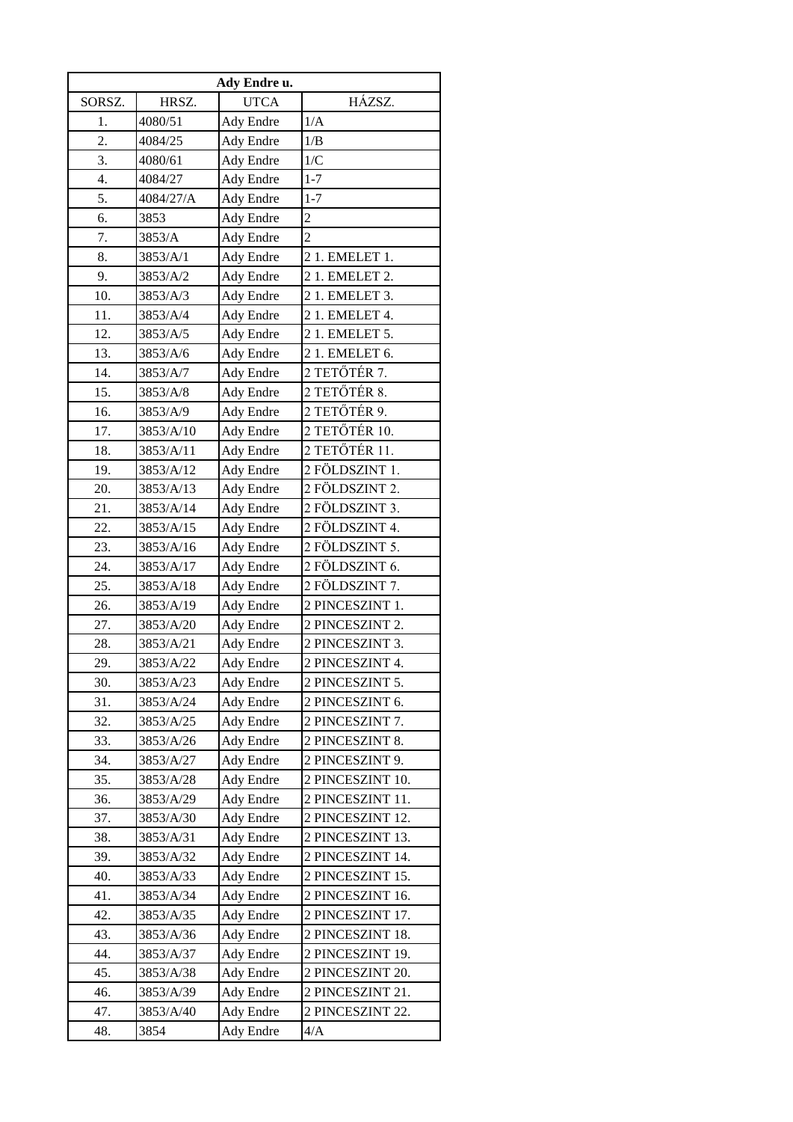| Ady Endre u. |           |                  |                  |  |  |  |
|--------------|-----------|------------------|------------------|--|--|--|
| SORSZ.       | HRSZ.     | <b>UTCA</b>      | HÁZSZ.           |  |  |  |
| 1.           | 4080/51   | Ady Endre        | 1/A              |  |  |  |
| 2.           | 4084/25   | Ady Endre        | 1/B              |  |  |  |
| 3.           | 4080/61   | Ady Endre        | 1/C              |  |  |  |
| 4.           | 4084/27   | Ady Endre        | $1 - 7$          |  |  |  |
| 5.           | 4084/27/A | Ady Endre        | $1 - 7$          |  |  |  |
| 6.           | 3853      | Ady Endre        | $\overline{c}$   |  |  |  |
| 7.           | 3853/A    | Ady Endre        | $\overline{2}$   |  |  |  |
| 8.           | 3853/A/1  | Ady Endre        | 21. EMELET 1.    |  |  |  |
| 9.           | 3853/A/2  | Ady Endre        | 21. EMELET 2.    |  |  |  |
| 10.          | 3853/A/3  | Ady Endre        | 21. EMELET 3.    |  |  |  |
| 11.          | 3853/A/4  | Ady Endre        | 21. EMELET 4.    |  |  |  |
| 12.          | 3853/A/5  | Ady Endre        | 2 1. EMELET 5.   |  |  |  |
| 13.          | 3853/A/6  | Ady Endre        | 21. EMELET 6.    |  |  |  |
| 14.          | 3853/A/7  | Ady Endre        | 2 TETŐTÉR 7.     |  |  |  |
| 15.          | 3853/A/8  | Ady Endre        | 2 TETŐTÉR 8.     |  |  |  |
| 16.          | 3853/A/9  | <b>Ady Endre</b> | 2 TETŐTÉR 9.     |  |  |  |
| 17.          | 3853/A/10 | Ady Endre        | 2 TETŐTÉR 10.    |  |  |  |
| 18.          | 3853/A/11 | Ady Endre        | 2 TETŐTÉR 11.    |  |  |  |
| 19.          | 3853/A/12 | Ady Endre        | 2 FÖLDSZINT 1.   |  |  |  |
| 20.          | 3853/A/13 | Ady Endre        | 2 FÖLDSZINT 2.   |  |  |  |
| 21.          | 3853/A/14 | Ady Endre        | 2 FÖLDSZINT 3.   |  |  |  |
| 22.          | 3853/A/15 | Ady Endre        | 2 FÖLDSZINT 4.   |  |  |  |
| 23.          | 3853/A/16 | Ady Endre        | 2 FÖLDSZINT 5.   |  |  |  |
| 24.          | 3853/A/17 | Ady Endre        | 2 FÖLDSZINT 6.   |  |  |  |
| 25.          | 3853/A/18 | Ady Endre        | 2 FÖLDSZINT 7.   |  |  |  |
| 26.          | 3853/A/19 | Ady Endre        | 2 PINCESZINT 1.  |  |  |  |
| 27.          | 3853/A/20 | Ady Endre        | 2 PINCESZINT 2.  |  |  |  |
| 28.          | 3853/A/21 | Ady Endre        | 2 PINCESZINT 3.  |  |  |  |
| 29.          | 3853/A/22 | Ady Endre        | 2 PINCESZINT 4.  |  |  |  |
| 30.          | 3853/A/23 | Ady Endre        | 2 PINCESZINT 5.  |  |  |  |
| 31.          | 3853/A/24 | <b>Ady Endre</b> | 2 PINCESZINT 6.  |  |  |  |
| 32.          | 3853/A/25 | Ady Endre        | 2 PINCESZINT 7.  |  |  |  |
| 33.          | 3853/A/26 | Ady Endre        | 2 PINCESZINT 8.  |  |  |  |
| 34.          | 3853/A/27 | Ady Endre        | 2 PINCESZINT 9.  |  |  |  |
| 35.          | 3853/A/28 | Ady Endre        | 2 PINCESZINT 10. |  |  |  |
| 36.          | 3853/A/29 | Ady Endre        | 2 PINCESZINT 11. |  |  |  |
| 37.          | 3853/A/30 | Ady Endre        | 2 PINCESZINT 12. |  |  |  |
| 38.          | 3853/A/31 | Ady Endre        | 2 PINCESZINT 13. |  |  |  |
| 39.          | 3853/A/32 | Ady Endre        | 2 PINCESZINT 14. |  |  |  |
| 40.          | 3853/A/33 | Ady Endre        | 2 PINCESZINT 15. |  |  |  |
| 41.          | 3853/A/34 | Ady Endre        | 2 PINCESZINT 16. |  |  |  |
| 42.          | 3853/A/35 | Ady Endre        | 2 PINCESZINT 17. |  |  |  |
| 43.          | 3853/A/36 | Ady Endre        | 2 PINCESZINT 18. |  |  |  |
| 44.          | 3853/A/37 | Ady Endre        | 2 PINCESZINT 19. |  |  |  |
| 45.          | 3853/A/38 | Ady Endre        | 2 PINCESZINT 20. |  |  |  |
| 46.          | 3853/A/39 | Ady Endre        | 2 PINCESZINT 21. |  |  |  |
| 47.          | 3853/A/40 | Ady Endre        | 2 PINCESZINT 22. |  |  |  |
| 48.          | 3854      | Ady Endre        | 4/A              |  |  |  |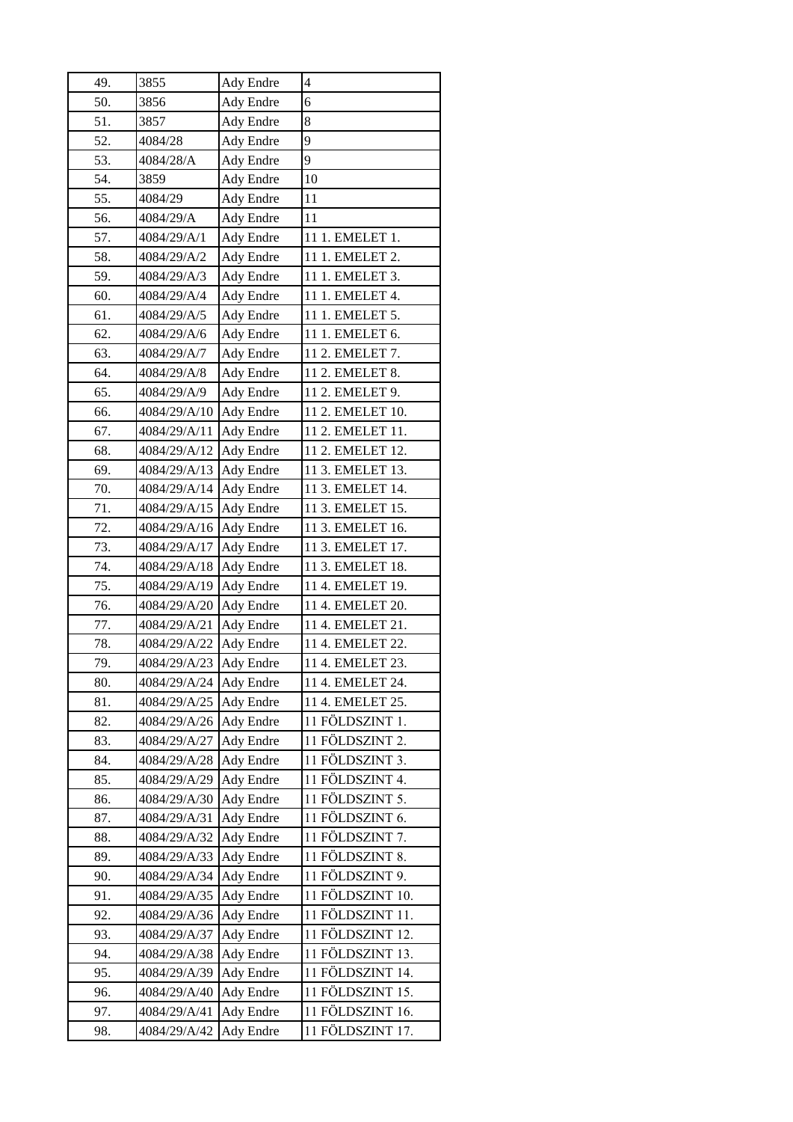| 49. | 3855         | Ady Endre        | $\overline{4}$   |
|-----|--------------|------------------|------------------|
| 50. | 3856         | Ady Endre        | 6                |
| 51. | 3857         | Ady Endre        | 8                |
| 52. | 4084/28      | Ady Endre        | 9                |
| 53. | 4084/28/A    | Ady Endre        | 9                |
| 54. | 3859         | Ady Endre        | 10               |
| 55. | 4084/29      | Ady Endre        | 11               |
| 56. | 4084/29/A    | Ady Endre        | 11               |
| 57. | 4084/29/A/1  | Ady Endre        | 11 1. EMELET 1.  |
| 58. | 4084/29/A/2  | Ady Endre        | 11 1. EMELET 2.  |
| 59. | 4084/29/A/3  | Ady Endre        | 11 1. EMELET 3.  |
| 60. | 4084/29/A/4  | Ady Endre        | 11 1. EMELET 4.  |
| 61. | 4084/29/A/5  | Ady Endre        | 11 1. EMELET 5.  |
| 62. | 4084/29/A/6  | Ady Endre        | 11 1. EMELET 6.  |
| 63. | 4084/29/A/7  | Ady Endre        | 11 2. EMELET 7.  |
| 64. | 4084/29/A/8  | Ady Endre        | 11 2. EMELET 8.  |
| 65. | 4084/29/A/9  | Ady Endre        | 11 2. EMELET 9.  |
| 66. | 4084/29/A/10 | Ady Endre        | 11 2. EMELET 10. |
| 67. | 4084/29/A/11 | Ady Endre        | 11 2. EMELET 11. |
| 68. | 4084/29/A/12 | Ady Endre        | 11 2. EMELET 12. |
| 69. | 4084/29/A/13 | Ady Endre        | 11 3. EMELET 13. |
| 70. | 4084/29/A/14 | Ady Endre        | 11 3. EMELET 14. |
| 71. | 4084/29/A/15 | Ady Endre        | 11 3. EMELET 15. |
| 72. | 4084/29/A/16 | Ady Endre        | 11 3. EMELET 16. |
| 73. | 4084/29/A/17 | Ady Endre        | 11 3. EMELET 17. |
| 74. | 4084/29/A/18 | Ady Endre        | 11 3. EMELET 18. |
| 75. | 4084/29/A/19 | Ady Endre        | 11 4. EMELET 19. |
| 76. | 4084/29/A/20 | Ady Endre        | 11 4. EMELET 20. |
| 77. | 4084/29/A/21 | Ady Endre        | 11 4. EMELET 21. |
| 78. | 4084/29/A/22 | Ady Endre        | 11 4. EMELET 22. |
| 79. | 4084/29/A/23 | Ady Endre        | 11 4. EMELET 23. |
| 80. | 4084/29/A/24 | <b>Ady Endre</b> | 11 4. EMELET 24. |
| 81. | 4084/29/A/25 | Ady Endre        | 11 4. EMELET 25. |
| 82. | 4084/29/A/26 | <b>Ady Endre</b> | 11 FÖLDSZINT 1.  |
| 83. | 4084/29/A/27 | Ady Endre        | 11 FÖLDSZINT 2.  |
| 84. | 4084/29/A/28 | Ady Endre        | 11 FÖLDSZINT 3.  |
| 85. | 4084/29/A/29 | Ady Endre        | 11 FÖLDSZINT 4.  |
| 86. | 4084/29/A/30 | Ady Endre        | 11 FÖLDSZINT 5.  |
| 87. | 4084/29/A/31 | Ady Endre        | 11 FÖLDSZINT 6.  |
| 88. | 4084/29/A/32 | Ady Endre        | 11 FÖLDSZINT 7.  |
| 89. | 4084/29/A/33 | Ady Endre        | 11 FÖLDSZINT 8.  |
| 90. | 4084/29/A/34 | Ady Endre        | 11 FÖLDSZINT 9.  |
| 91. | 4084/29/A/35 | Ady Endre        | 11 FÖLDSZINT 10. |
| 92. | 4084/29/A/36 | Ady Endre        | 11 FÖLDSZINT 11. |
| 93. | 4084/29/A/37 | Ady Endre        | 11 FÖLDSZINT 12. |
| 94. | 4084/29/A/38 | <b>Ady Endre</b> | 11 FÖLDSZINT 13. |
| 95. | 4084/29/A/39 | Ady Endre        | 11 FÖLDSZINT 14. |
| 96. | 4084/29/A/40 | Ady Endre        | 11 FÖLDSZINT 15. |
|     |              |                  |                  |
| 97. | 4084/29/A/41 | Ady Endre        | 11 FÖLDSZINT 16. |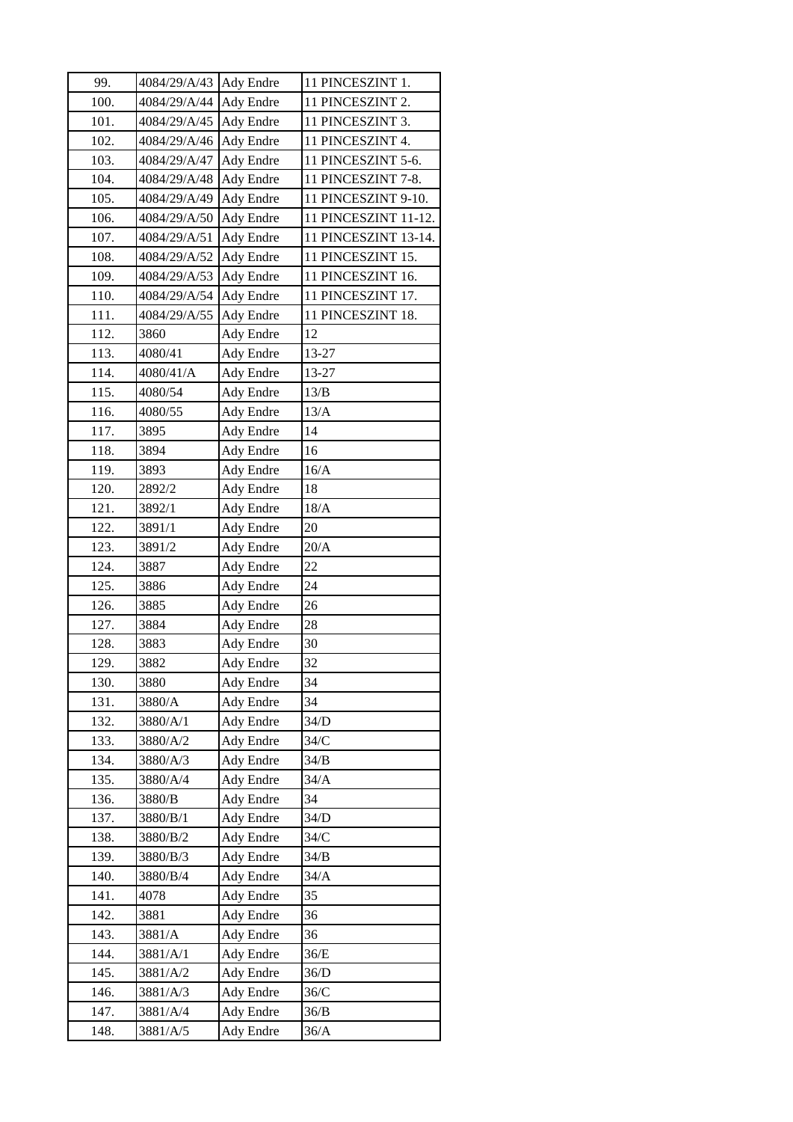| 99.  | 4084/29/A/43 Ady Endre |                  | 11 PINCESZINT 1.     |
|------|------------------------|------------------|----------------------|
| 100. | 4084/29/A/44           | Ady Endre        | 11 PINCESZINT 2.     |
| 101. | 4084/29/A/45           | Ady Endre        | 11 PINCESZINT 3.     |
| 102. | 4084/29/A/46           | Ady Endre        | 11 PINCESZINT 4.     |
| 103. | 4084/29/A/47           | Ady Endre        | 11 PINCESZINT 5-6.   |
| 104. | 4084/29/A/48           | <b>Ady Endre</b> | 11 PINCESZINT 7-8.   |
| 105. | 4084/29/A/49           | Ady Endre        | 11 PINCESZINT 9-10.  |
| 106. | 4084/29/A/50           | Ady Endre        | 11 PINCESZINT 11-12. |
| 107. | 4084/29/A/51           | Ady Endre        | 11 PINCESZINT 13-14. |
| 108. | 4084/29/A/52           | Ady Endre        | 11 PINCESZINT 15.    |
| 109. | 4084/29/A/53           | Ady Endre        | 11 PINCESZINT 16.    |
| 110. | 4084/29/A/54           | Ady Endre        | 11 PINCESZINT 17.    |
| 111. | 4084/29/A/55           | Ady Endre        | 11 PINCESZINT 18.    |
| 112. | 3860                   | Ady Endre        | 12                   |
| 113. | 4080/41                | Ady Endre        | 13-27                |
| 114. | 4080/41/A              | Ady Endre        | 13-27                |
| 115. | 4080/54                | Ady Endre        | 13/B                 |
| 116. | 4080/55                | Ady Endre        | 13/A                 |
| 117. | 3895                   | Ady Endre        | 14                   |
| 118. | 3894                   | Ady Endre        | 16                   |
| 119. | 3893                   | Ady Endre        | 16/A                 |
| 120. | 2892/2                 | Ady Endre        | 18                   |
| 121. | 3892/1                 | Ady Endre        | 18/A                 |
| 122. | 3891/1                 | Ady Endre        | 20                   |
| 123. | 3891/2                 | Ady Endre        | 20/A                 |
| 124. | 3887                   | Ady Endre        | 22                   |
| 125. | 3886                   | Ady Endre        | 24                   |
| 126. | 3885                   | Ady Endre        | 26                   |
| 127. | 3884                   | Ady Endre        | 28                   |
| 128. | 3883                   | Ady Endre        | 30                   |
| 129. | 3882                   | Ady Endre        | 32                   |
| 130. | 3880                   | Ady Endre        | 34                   |
| 131. | 3880/A                 | Ady Endre        | 34                   |
| 132. | 3880/A/1               | Ady Endre        | 34/D                 |
| 133. | 3880/A/2               | Ady Endre        | 34/C                 |
| 134. | 3880/A/3               | Ady Endre        | 34/B                 |
| 135. | 3880/A/4               | <b>Ady Endre</b> | 34/A                 |
| 136. | 3880/B                 | Ady Endre        | 34                   |
| 137. | 3880/B/1               | Ady Endre        | 34/D                 |
| 138. | 3880/B/2               | Ady Endre        | 34/C                 |
| 139. | 3880/B/3               | Ady Endre        | 34/B                 |
| 140. | 3880/B/4               | Ady Endre        | 34/A                 |
| 141. | 4078                   | Ady Endre        | 35                   |
| 142. | 3881                   | Ady Endre        | 36                   |
| 143. | 3881/A                 | Ady Endre        | 36                   |
| 144. | 3881/A/1               | Ady Endre        | 36/E                 |
| 145. | 3881/A/2               | Ady Endre        | 36/D                 |
| 146. | 3881/A/3               | Ady Endre        | 36/C                 |
| 147. | 3881/A/4               | Ady Endre        | 36/B                 |
|      |                        |                  |                      |